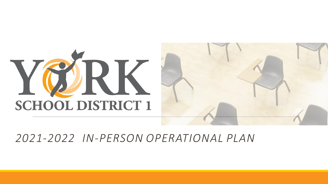



## *2021-2022 IN-PERSON OPERATIONAL PLAN*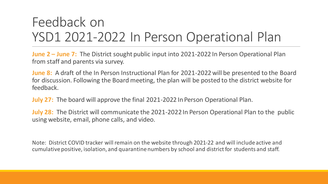# Feedback on YSD1 2021-2022 In Person Operational Plan

**June 2 – June 7:** The District sought public input into 2021-2022 In Person Operational Plan from staff and parents via survey.

**June 8:** A draft of the In Person Instructional Plan for 2021-2022 will be presented to the Board for discussion. Following the Board meeting, the plan will be posted to the district website for feedback.

**July 27:** The board will approve the final 2021-2022 In Person Operational Plan.

**July 28:** The District will communicate the 2021-2022 In Person Operational Plan to the public using website, email, phone calls, and video.

Note: District COVID tracker will remain on the website through 2021-22 and will include active and cumulative positive, isolation, and quarantine numbers by school and district for students and staff.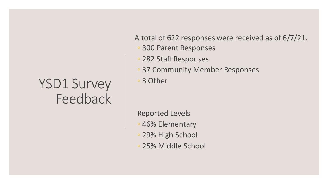# YSD1 Survey Feedback

A total of 622 responses were received as of 6/7/21.

- 300 Parent Responses
- 282 Staff Responses
- 37 Community Member Responses

◦ 3 Other

Reported Levels

- 46% Elementary
- 29% High School
- 25% Middle School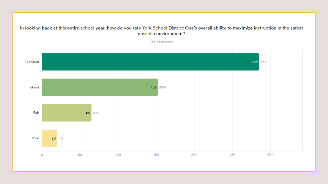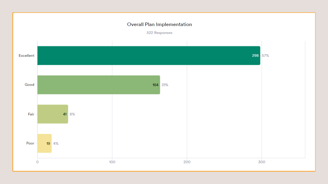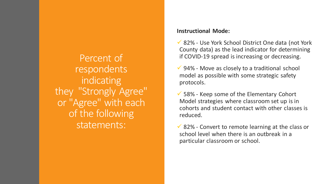Percent of respondents indicating they "Strongly Agree" or "Agree" with each of the following statements:

### **Instructional Mode:**

✓ 82% - Use York School District One data (not York County data) as the lead indicator for determining if COVID-19 spread is increasing or decreasing.

 $\checkmark$  94% - Move as closely to a traditional school model as possible with some strategic safety protocols.

 $\checkmark$  58% - Keep some of the Elementary Cohort Model strategies where classroom set up is in cohorts and student contact with other classes is reduced.

 $\checkmark$  82% - Convert to remote learning at the class or school level when there is an outbreak in a particular classroom or school.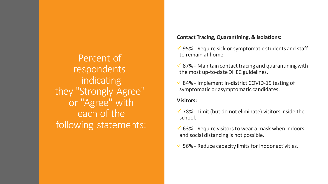Percent of respondents indicating they "Strongly Agree" or "Agree" with each of the following statements:

#### **Contact Tracing, Quarantining, & Isolations:**

- $\checkmark$  95% Require sick or symptomatic students and staff to remain at home.
- $\checkmark$  87% Maintain contact tracing and quarantining with the most up-to-date DHEC guidelines.
- $\checkmark$  84% Implement in-district COVID-19 testing of symptomatic or asymptomatic candidates.

### **Visitors:**

- $\checkmark$  78% Limit (but do not eliminate) visitors inside the school.
- $\checkmark$  63% Require visitors to wear a mask when indoors and social distancing is not possible.
- $\checkmark$  56% Reduce capacity limits for indoor activities.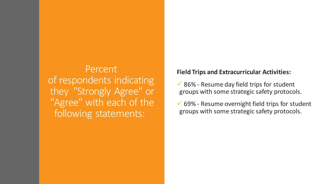Percent of respondents indicating they "Strongly Agree" or "Agree" with each of the following statements:

## **Field Trips and Extracurricular Activities:**

- $\checkmark$  86% Resume day field trips for student groups with some strategic safety protocols.
- $\checkmark$  69% Resume overnight field trips for student groups with some strategic safety protocols.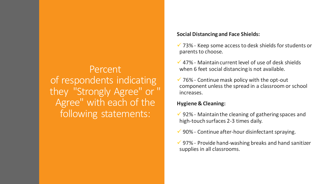## Percent of respondents indicating they "Strongly Agree" or " Agree" with each of the following statements:

### **Social Distancing and Face Shields:**

 $\checkmark$  73% - Keep some access to desk shields for students or parents to choose.

- $\checkmark$  47% Maintain current level of use of desk shields when 6 feet social distancing is not available.
- $\checkmark$  76% Continue mask policy with the opt-out component unless the spread in a classroom or school increases.

## **Hygiene & Cleaning:**

- $\checkmark$  92% Maintain the cleaning of gathering spaces and high-touch surfaces 2-3 times daily.
- $\checkmark$  90% Continue after-hour disinfectant spraying.
- $\checkmark$  97% Provide hand-washing breaks and hand sanitizer supplies in all classrooms.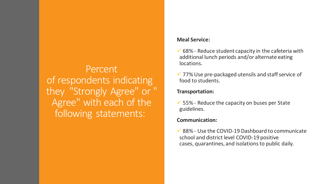Percent of respondents indicating they "Strongly Agree" or " Agree" with each of the following statements:

### **Meal Service:**

- $\checkmark$  68% Reduce student capacity in the cafeteria with additional lunch periods and/or alternate eating locations.
- $\checkmark$  77% Use pre-packaged utensils and staff service of food to students.

### **Transportation:**

 $\checkmark$  55% - Reduce the capacity on buses per State guidelines.

### **Communication:**

 $\checkmark$  88% - Use the COVID-19 Dashboard to communicate school and district level COVID-19 positive cases, quarantines, and isolations to public daily.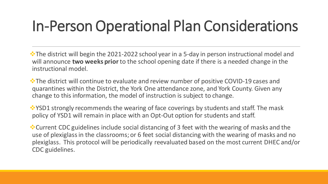# In-Person Operational Plan Considerations

❖The district will begin the 2021-2022 school year in a 5-day in person instructional model and will announce **two weeks prior**to the school opening date if there is a needed change in the instructional model.

❖The district will continue to evaluate and review number of positive COVID-19 cases and quarantines within the District, the York One attendance zone, and York County. Given any change to this information, the model of instruction is subject to change.

❖YSD1 strongly recommends the wearing of face coverings by students and staff. The mask policy of YSD1 will remain in place with an Opt-Out option for students and staff.

❖Current CDC guidelines include social distancing of 3 feet with the wearing of masks and the use of plexiglass in the classrooms; or 6 feet social distancing with the wearing of masks and no plexiglass. This protocol will be periodically reevaluated based on the most current DHEC and/or CDC guidelines.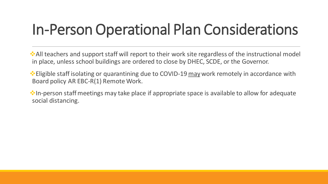# In-Person Operational Plan Considerations

❖All teachers and support staff will report to their work site regardless of the instructional model in place, unless school buildings are ordered to close by DHEC, SCDE, or the Governor.

 • Eligible staff isolating or quarantining due to COVID-19 may work remotely in accordance with Board policy AR EBC-R(1) Remote Work.

❖In-person staff meetings may take place if appropriate space is available to allow for adequate social distancing.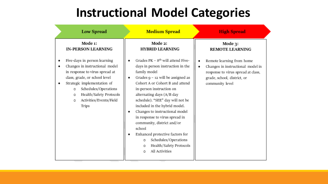# **Instructional Model Categories**

| <b>Low Spread</b>                                                                                                                                                                                                                                                                        | <b>Medium Spread</b>                                                                                                                                                                                                                                                                                                                                                                                                                                                                                                                                  | <b>High Spread</b>                                                                                                                                          |
|------------------------------------------------------------------------------------------------------------------------------------------------------------------------------------------------------------------------------------------------------------------------------------------|-------------------------------------------------------------------------------------------------------------------------------------------------------------------------------------------------------------------------------------------------------------------------------------------------------------------------------------------------------------------------------------------------------------------------------------------------------------------------------------------------------------------------------------------------------|-------------------------------------------------------------------------------------------------------------------------------------------------------------|
| Mode 1:<br><b>IN-PERSON LEARNING</b>                                                                                                                                                                                                                                                     | Mode 2:<br><b>HYBRID LEARNING</b>                                                                                                                                                                                                                                                                                                                                                                                                                                                                                                                     | Mode 3:<br><b>REMOTE LEARNING</b>                                                                                                                           |
| Five-days in person learning<br>Changes in instructional model<br>in response to virus spread at<br>class, grade, or school level<br>Strategic implementation of<br>Schedules/Operations<br>$\circ$<br>Health/Safety Protocols<br>$\circ$<br>Activities/Events/Field<br>$\circ$<br>Trips | Grades $PK - 8th$ will attend Five-<br>days in person instruction in the<br>family model<br>Grades $g - 12$ will be assigned as<br>Cohort A or Cohort B and attend<br>in-person instruction on<br>alternating days (A/B day<br>schedule). "SEE" day will not be<br>included in the hybrid model.<br>Changes to instructional model<br>in response to virus spread in<br>community, district and/or<br>school<br>Enhanced protective factors for<br>Schedules/Operations<br>$\circ$<br>Health/Safety Protocols<br>$\circ$<br>All Activities<br>$\circ$ | Remote learning from home<br>Changes in instructional model in<br>٠<br>response to virus spread at class,<br>grade, school, district, or<br>community level |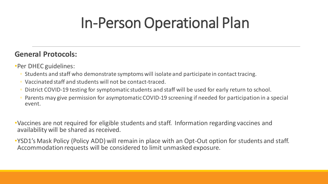# In-Person Operational Plan

## **General Protocols:**

•Per DHEC guidelines:

- Students and staff who demonstrate symptoms will isolate and participate in contact tracing.
- Vaccinated staff and students will not be contact-traced.
- District COVID-19 testing for symptomatic students and staff will be used for early return to school.
- Parents may give permission for asymptomatic COVID-19 screening if needed for participation in a special event.

•Vaccines are not required for eligible students and staff. Information regarding vaccines and availability will be shared as received.

•YSD1's Mask Policy (Policy ADD) will remain in place with an Opt-Out option for students and staff. Accommodation requests will be considered to limit unmasked exposure.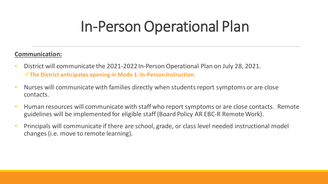# In-Person Operational Plan

## **Communication:**

- District will communicate the 2021-2022 In-Person Operational Plan on July 28, 2021. ✓**The District anticipates opening in Mode 1: In-Person Instruction.**
- Nurses will communicate with families directly when students report symptoms or are close contacts.
- Human resources will communicate with staff who report symptoms or are close contacts. Remote guidelines will be implemented for eligible staff (Board Policy AR EBC-R Remote Work).
- Principals will communicate if there are school, grade, or class level needed instructional model changes (i.e. move to remote learning).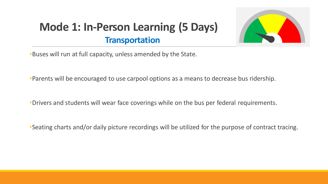## **Mode 1: In-Person Learning (5 Days) Transportation**



•Buses will run at full capacity, unless amended by the State.

•Parents will be encouraged to use carpool options as a means to decrease bus ridership.

•Drivers and students will wear face coverings while on the bus per federal requirements.

•Seating charts and/or daily picture recordings will be utilized for the purpose of contract tracing.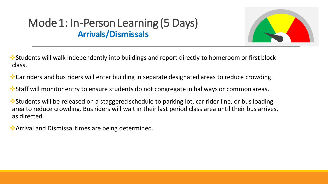## Mode 1: In-Person Learning (5 Days) **Arrivals/Dismissals**



❖Students will walk independently into buildings and report directly to homeroom or first block class.

❖Car riders and bus riders will enter building in separate designated areas to reduce crowding.

❖Staff will monitor entry to ensure students do not congregate in hallways or common areas.

❖Students will be released on a staggered schedule to parking lot, car rider line, or bus loading area to reduce crowding. Bus riders will wait in their last period class area until their bus arrives, as directed.

❖Arrival and Dismissal times are being determined.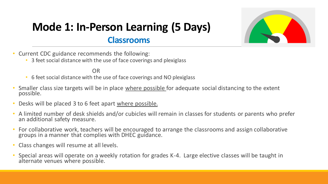## **Mode 1: In-Person Learning (5 Days) Classrooms**



- Current CDC guidance recommends the following:
	- 3 feet social distance with the use of face coverings and plexiglass

OR

- 6 feet social distance with the use of face coverings and NO plexiglass
- Smaller class size targets will be in place where possible for adequate social distancing to the extent possible.
- Desks will be placed 3 to 6 feet apart where possible.
- A limited number of desk shields and/or cubicles will remain in classes for students or parents who prefer an additional safety measure.
- For collaborative work, teachers will be encouraged to arrange the classrooms and assign collaborative groups in a manner that complies with DHEC guidance.
- Class changes will resume at all levels.
- Special areas will operate on a weekly rotation for grades K-4. Large elective classes will be taught in alternate venues where possible.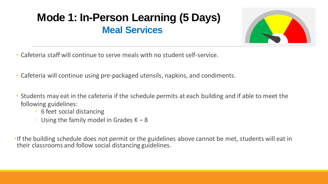# **Mode 1: In-Person Learning (5 Days) Meal Services**



- Cafeteria staff will continue to serve meals with no student self-service.
- Cafeteria will continue using pre-packaged utensils, napkins, and condiments.
- Students may eat in the cafeteria if the schedule permits at each building and if able to meet the following guidelines:
	- 6 feet social distancing
	- Using the family model in Grades  $K 8$

•If the building schedule does not permit or the guidelines above cannot be met, students will eat in their classrooms and follow social distancing guidelines.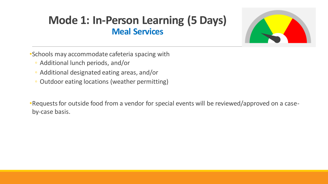## **Mode 1: In-Person Learning (5 Days) Meal Services**



•Schools may accommodate cafeteria spacing with

- Additional lunch periods, and/or
- Additional designated eating areas, and/or
- Outdoor eating locations (weather permitting)

•Requests for outside food from a vendor for special events will be reviewed/approved on a caseby-case basis.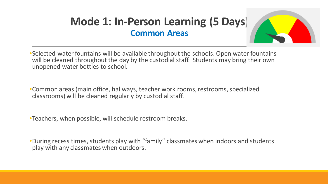## **Mode 1: In-Person Learning (5 Days) Common Areas**



•Selected water fountains will be available throughout the schools. Open water fountains will be cleaned throughout the day by the custodial staff. Students may bring their own unopened water bottles to school.

•Common areas (main office, hallways, teacher work rooms, restrooms, specialized classrooms) will be cleaned regularly by custodial staff.

•Teachers, when possible, will schedule restroom breaks.

•During recess times, students play with "family" classmates when indoors and students play with any classmates when outdoors.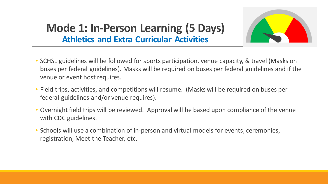

## **Mode 1: In-Person Learning (5 Days) Athletics and Extra Curricular Activities**

- SCHSL guidelines will be followed for sports participation, venue capacity, & travel (Masks on buses per federal guidelines). Masks will be required on buses per federal guidelines and if the venue or event host requires.
- Field trips, activities, and competitions will resume. (Masks will be required on buses per federal guidelines and/or venue requires).
- Overnight field trips will be reviewed. Approval will be based upon compliance of the venue with CDC guidelines.
- Schools will use a combination of in-person and virtual models for events, ceremonies, registration, Meet the Teacher, etc.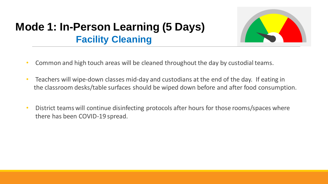## **Mode 1: In-Person Learning (5 Days) Facility Cleaning**



- Common and high touch areas will be cleaned throughout the day by custodial teams.
- Teachers will wipe-down classes mid-day and custodians at the end of the day. If eating in the classroom desks/table surfaces should be wiped down before and after food consumption.
- District teams will continue disinfecting protocols after hours for those rooms/spaces where there has been COVID-19 spread.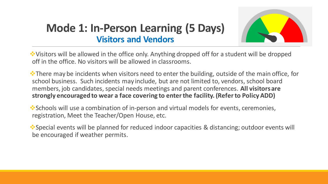

## **Mode 1: In-Person Learning (5 Days) Visitors and Vendors**

❖Visitors will be allowed in the office only. Anything dropped off for a student will be dropped off in the office. No visitors will be allowed in classrooms.

❖There may be incidents when visitors need to enter the building, outside of the main office, for school business. Such incidents may include, but are not limited to, vendors, school board members, job candidates, special needs meetings and parent conferences. **All visitors are strongly encouraged to wear a face covering to enter the facility. (Refer to Policy ADD)**

❖Schools will use a combination of in-person and virtual models for events, ceremonies, registration, Meet the Teacher/Open House, etc.

❖Special events will be planned for reduced indoor capacities & distancing; outdoor events will be encouraged if weather permits.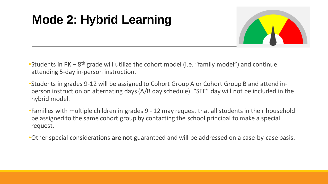# **Mode 2: Hybrid Learning**



- Students in PK 8<sup>th</sup> grade will utilize the cohort model (i.e. "family model") and continue attending 5-day in-person instruction.
- •Students in grades 9-12 will be assigned to Cohort Group A or Cohort Group B and attend inperson instruction on alternating days (A/B day schedule). "SEE" day will not be included in the hybrid model.
- •Families with multiple children in grades 9 12 may request that all students in their household be assigned to the same cohort group by contacting the school principal to make a special request.
- •Other special considerations **are not** guaranteed and will be addressed on a case-by-case basis.